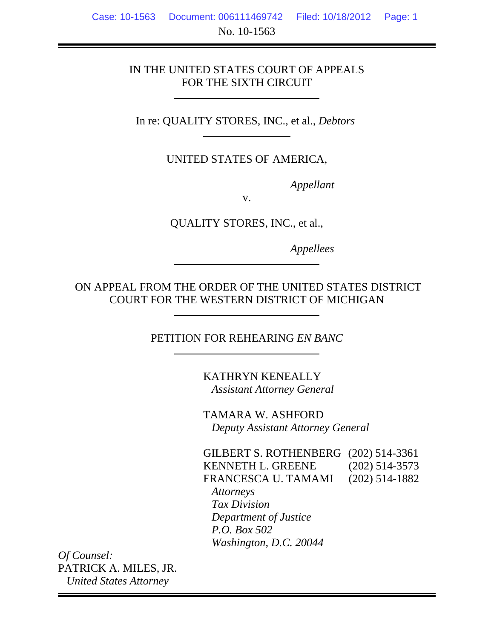# IN THE UNITED STATES COURT OF APPEALS FOR THE SIXTH CIRCUIT

In re: QUALITY STORES, INC., et al., *Debtors* 

UNITED STATES OF AMERICA,

*Appellant*

v.

QUALITY STORES, INC., et al.,

*Appellees*

 ON APPEAL FROM THE ORDER OF THE UNITED STATES DISTRICT COURT FOR THE WESTERN DISTRICT OF MICHIGAN

PETITION FOR REHEARING *EN BANC*

KATHRYN KENEALLY *Assistant Attorney General*

 *Washington, D.C. 20044*

TAMARA W. ASHFORD *Deputy Assistant Attorney General*

GILBERT S. ROTHENBERG (202) 514-3361 KENNETH L. GREENE (202) 514-3573 FRANCESCA U. TAMAMI (202) 514-1882  *Attorneys Tax Division Department of Justice P.O. Box 502*

*Of Counsel:* PATRICK A. MILES, JR. *United States Attorney*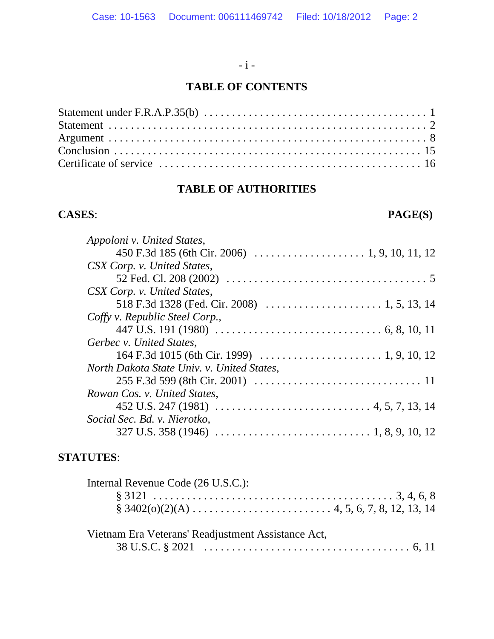# - i -

# **TABLE OF CONTENTS**

# **TABLE OF AUTHORITIES**

# **CASES**: **PAGE(S)**

| Appoloni v. United States,                                                                                     |
|----------------------------------------------------------------------------------------------------------------|
|                                                                                                                |
| CSX Corp. v. United States,                                                                                    |
| 52 Fed. Cl. 208 (2002) $\ldots \ldots \ldots \ldots \ldots \ldots \ldots \ldots \ldots \ldots \ldots \ldots 5$ |
| CSX Corp. v. United States,                                                                                    |
|                                                                                                                |
| Coffy v. Republic Steel Corp.,                                                                                 |
|                                                                                                                |
| Gerbec v. United States,                                                                                       |
|                                                                                                                |
| North Dakota State Univ. v. United States,                                                                     |
|                                                                                                                |
| Rowan Cos. v. United States,                                                                                   |
|                                                                                                                |
| Social Sec. Bd. v. Nierotko,                                                                                   |
|                                                                                                                |
|                                                                                                                |

# **STATUTES**:

| Internal Revenue Code (26 U.S.C.):                 |  |
|----------------------------------------------------|--|
|                                                    |  |
|                                                    |  |
| Vietnam Era Veterans' Readjustment Assistance Act, |  |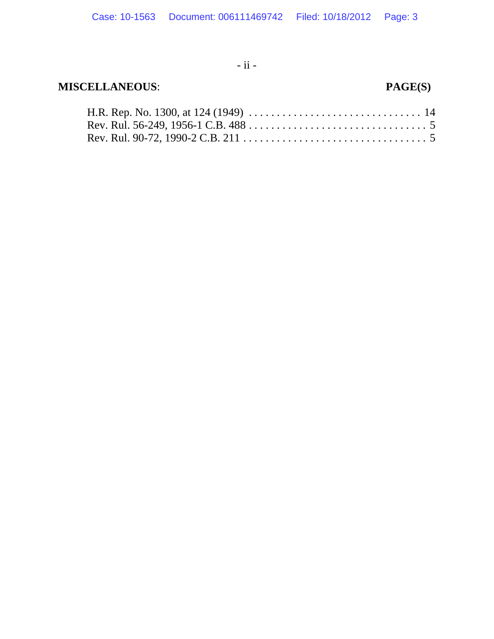- ii -

# **MISCELLANEOUS**: **PAGE(S)**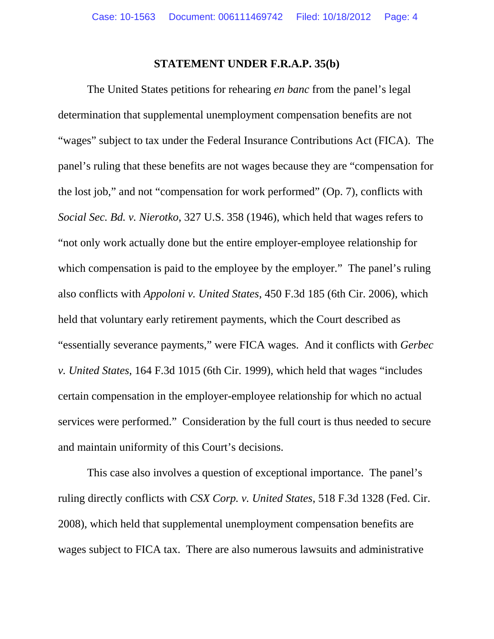## **STATEMENT UNDER F.R.A.P. 35(b)**

The United States petitions for rehearing *en banc* from the panel's legal determination that supplemental unemployment compensation benefits are not "wages" subject to tax under the Federal Insurance Contributions Act (FICA). The panel's ruling that these benefits are not wages because they are "compensation for the lost job," and not "compensation for work performed" (Op. 7), conflicts with *Social Sec. Bd. v. Nierotko*, 327 U.S. 358 (1946), which held that wages refers to "not only work actually done but the entire employer-employee relationship for which compensation is paid to the employee by the employer." The panel's ruling also conflicts with *Appoloni v. United States*, 450 F.3d 185 (6th Cir. 2006), which held that voluntary early retirement payments, which the Court described as "essentially severance payments," were FICA wages. And it conflicts with *Gerbec v. United States*, 164 F.3d 1015 (6th Cir. 1999), which held that wages "includes certain compensation in the employer-employee relationship for which no actual services were performed." Consideration by the full court is thus needed to secure and maintain uniformity of this Court's decisions.

This case also involves a question of exceptional importance. The panel's ruling directly conflicts with *CSX Corp. v. United States*, 518 F.3d 1328 (Fed. Cir. 2008), which held that supplemental unemployment compensation benefits are wages subject to FICA tax. There are also numerous lawsuits and administrative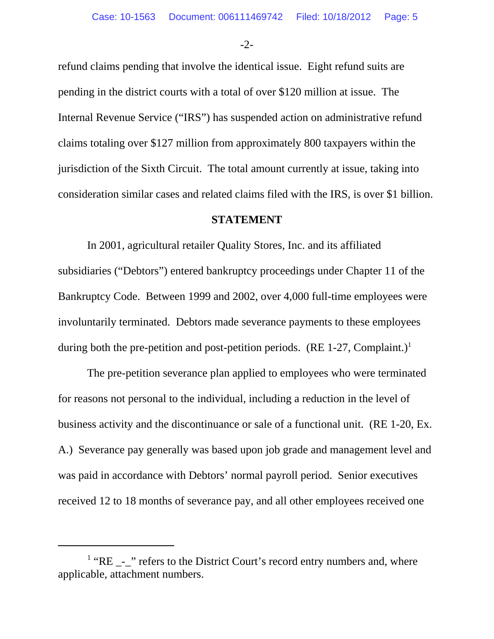-2-

refund claims pending that involve the identical issue. Eight refund suits are pending in the district courts with a total of over \$120 million at issue. The Internal Revenue Service ("IRS") has suspended action on administrative refund claims totaling over \$127 million from approximately 800 taxpayers within the jurisdiction of the Sixth Circuit. The total amount currently at issue, taking into consideration similar cases and related claims filed with the IRS, is over \$1 billion.

## **STATEMENT**

In 2001, agricultural retailer Quality Stores, Inc. and its affiliated subsidiaries ("Debtors") entered bankruptcy proceedings under Chapter 11 of the Bankruptcy Code. Between 1999 and 2002, over 4,000 full-time employees were involuntarily terminated. Debtors made severance payments to these employees during both the pre-petition and post-petition periods. (RE 1-27, Complaint.)<sup>1</sup>

The pre-petition severance plan applied to employees who were terminated for reasons not personal to the individual, including a reduction in the level of business activity and the discontinuance or sale of a functional unit. (RE 1-20, Ex. A.) Severance pay generally was based upon job grade and management level and was paid in accordance with Debtors' normal payroll period. Senior executives received 12 to 18 months of severance pay, and all other employees received one

 $1$  "RE  $_{--}$ " refers to the District Court's record entry numbers and, where applicable, attachment numbers.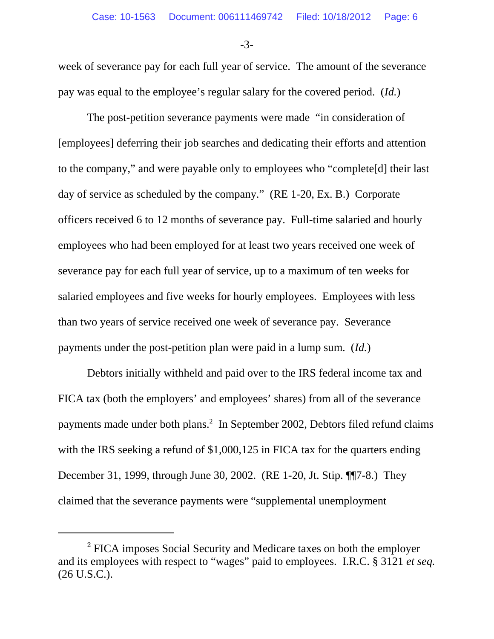-3-

week of severance pay for each full year of service. The amount of the severance pay was equal to the employee's regular salary for the covered period. (*Id.*)

The post-petition severance payments were made "in consideration of [employees] deferring their job searches and dedicating their efforts and attention to the company," and were payable only to employees who "complete[d] their last day of service as scheduled by the company." (RE 1-20, Ex. B.) Corporate officers received 6 to 12 months of severance pay. Full-time salaried and hourly employees who had been employed for at least two years received one week of severance pay for each full year of service, up to a maximum of ten weeks for salaried employees and five weeks for hourly employees. Employees with less than two years of service received one week of severance pay. Severance payments under the post-petition plan were paid in a lump sum. (*Id.*)

Debtors initially withheld and paid over to the IRS federal income tax and FICA tax (both the employers' and employees' shares) from all of the severance payments made under both plans.<sup>2</sup> In September 2002, Debtors filed refund claims with the IRS seeking a refund of \$1,000,125 in FICA tax for the quarters ending December 31, 1999, through June 30, 2002. (RE 1-20, Jt. Stip. ¶¶7-8.) They claimed that the severance payments were "supplemental unemployment

 $2$  FICA imposes Social Security and Medicare taxes on both the employer and its employees with respect to "wages" paid to employees. I.R.C. § 3121 *et seq.* (26 U.S.C.).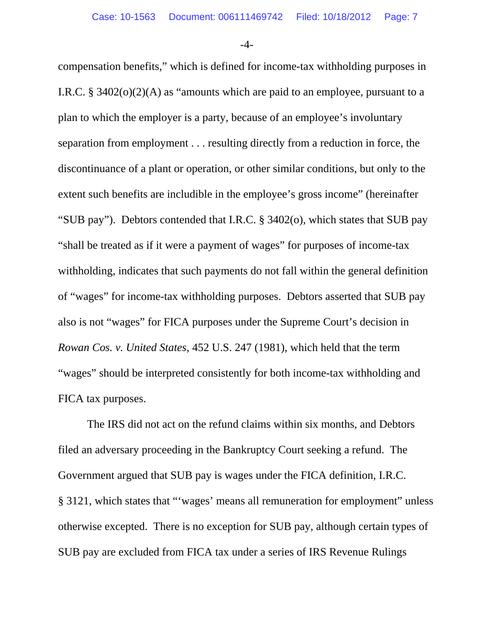-4-

compensation benefits," which is defined for income-tax withholding purposes in I.R.C.  $\S$  3402(o)(2)(A) as "amounts which are paid to an employee, pursuant to a plan to which the employer is a party, because of an employee's involuntary separation from employment . . . resulting directly from a reduction in force, the discontinuance of a plant or operation, or other similar conditions, but only to the extent such benefits are includible in the employee's gross income" (hereinafter "SUB pay"). Debtors contended that I.R.C.  $\S$  3402(o), which states that SUB pay "shall be treated as if it were a payment of wages" for purposes of income-tax withholding, indicates that such payments do not fall within the general definition of "wages" for income-tax withholding purposes. Debtors asserted that SUB pay also is not "wages" for FICA purposes under the Supreme Court's decision in *Rowan Cos. v. United States*, 452 U.S. 247 (1981), which held that the term "wages" should be interpreted consistently for both income-tax withholding and FICA tax purposes.

The IRS did not act on the refund claims within six months, and Debtors filed an adversary proceeding in the Bankruptcy Court seeking a refund. The Government argued that SUB pay is wages under the FICA definition, I.R.C. § 3121, which states that "'wages' means all remuneration for employment" unless otherwise excepted. There is no exception for SUB pay, although certain types of SUB pay are excluded from FICA tax under a series of IRS Revenue Rulings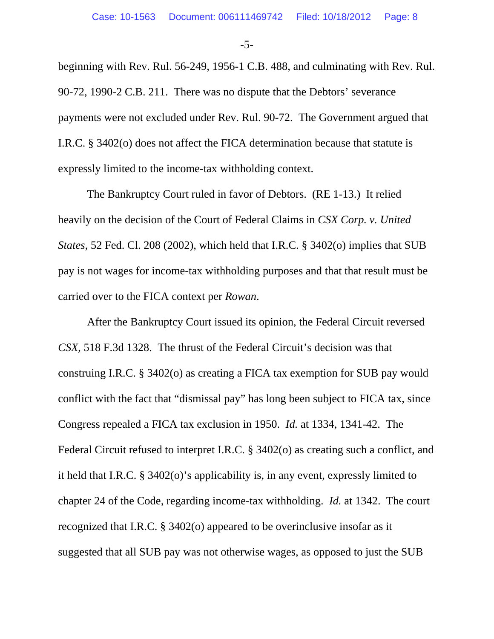-5-

beginning with Rev. Rul. 56-249, 1956-1 C.B. 488, and culminating with Rev. Rul. 90-72, 1990-2 C.B. 211. There was no dispute that the Debtors' severance payments were not excluded under Rev. Rul. 90-72. The Government argued that I.R.C. § 3402(o) does not affect the FICA determination because that statute is expressly limited to the income-tax withholding context.

The Bankruptcy Court ruled in favor of Debtors. (RE 1-13.) It relied heavily on the decision of the Court of Federal Claims in *CSX Corp. v. United States*, 52 Fed. Cl. 208 (2002), which held that I.R.C. § 3402(o) implies that SUB pay is not wages for income-tax withholding purposes and that that result must be carried over to the FICA context per *Rowan*.

After the Bankruptcy Court issued its opinion, the Federal Circuit reversed *CSX*, 518 F.3d 1328. The thrust of the Federal Circuit's decision was that construing I.R.C. § 3402(o) as creating a FICA tax exemption for SUB pay would conflict with the fact that "dismissal pay" has long been subject to FICA tax, since Congress repealed a FICA tax exclusion in 1950. *Id.* at 1334, 1341-42. The Federal Circuit refused to interpret I.R.C. § 3402(o) as creating such a conflict, and it held that I.R.C. § 3402(o)'s applicability is, in any event, expressly limited to chapter 24 of the Code, regarding income-tax withholding. *Id.* at 1342. The court recognized that I.R.C. § 3402(o) appeared to be overinclusive insofar as it suggested that all SUB pay was not otherwise wages, as opposed to just the SUB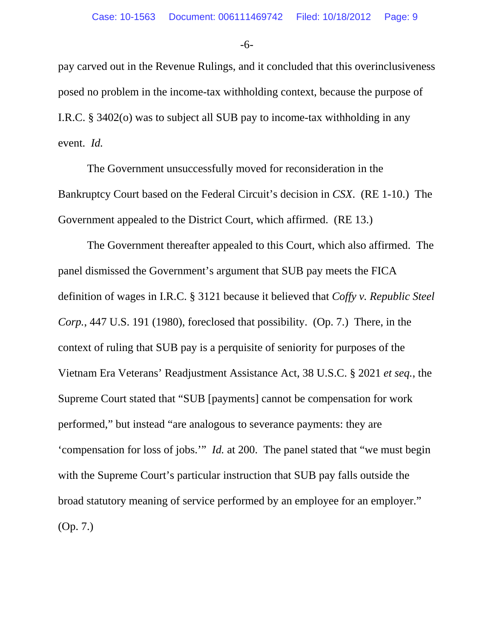-6-

pay carved out in the Revenue Rulings, and it concluded that this overinclusiveness posed no problem in the income-tax withholding context, because the purpose of I.R.C. § 3402(o) was to subject all SUB pay to income-tax withholding in any event. *Id.*

The Government unsuccessfully moved for reconsideration in the Bankruptcy Court based on the Federal Circuit's decision in *CSX*. (RE 1-10.) The Government appealed to the District Court, which affirmed. (RE 13.)

The Government thereafter appealed to this Court, which also affirmed. The panel dismissed the Government's argument that SUB pay meets the FICA definition of wages in I.R.C. § 3121 because it believed that *Coffy v. Republic Steel Corp.*, 447 U.S. 191 (1980), foreclosed that possibility. (Op. 7.) There, in the context of ruling that SUB pay is a perquisite of seniority for purposes of the Vietnam Era Veterans' Readjustment Assistance Act, 38 U.S.C. § 2021 *et seq.*, the Supreme Court stated that "SUB [payments] cannot be compensation for work performed," but instead "are analogous to severance payments: they are 'compensation for loss of jobs.'" *Id.* at 200. The panel stated that "we must begin with the Supreme Court's particular instruction that SUB pay falls outside the broad statutory meaning of service performed by an employee for an employer." (Op. 7.)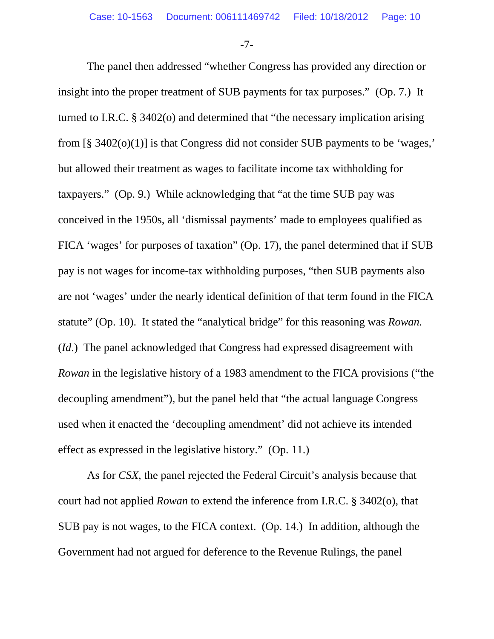-7-

The panel then addressed "whether Congress has provided any direction or insight into the proper treatment of SUB payments for tax purposes." (Op. 7.) It turned to I.R.C. § 3402(o) and determined that "the necessary implication arising from [§ 3402(o)(1)] is that Congress did not consider SUB payments to be 'wages,' but allowed their treatment as wages to facilitate income tax withholding for taxpayers." (Op. 9.) While acknowledging that "at the time SUB pay was conceived in the 1950s, all 'dismissal payments' made to employees qualified as FICA 'wages' for purposes of taxation" (Op. 17), the panel determined that if SUB pay is not wages for income-tax withholding purposes, "then SUB payments also are not 'wages' under the nearly identical definition of that term found in the FICA statute" (Op. 10). It stated the "analytical bridge" for this reasoning was *Rowan.*  (*Id*.) The panel acknowledged that Congress had expressed disagreement with *Rowan* in the legislative history of a 1983 amendment to the FICA provisions ("the decoupling amendment"), but the panel held that "the actual language Congress used when it enacted the 'decoupling amendment' did not achieve its intended effect as expressed in the legislative history." (Op. 11.)

As for *CSX*, the panel rejected the Federal Circuit's analysis because that court had not applied *Rowan* to extend the inference from I.R.C. § 3402(o), that SUB pay is not wages, to the FICA context. (Op. 14.) In addition, although the Government had not argued for deference to the Revenue Rulings, the panel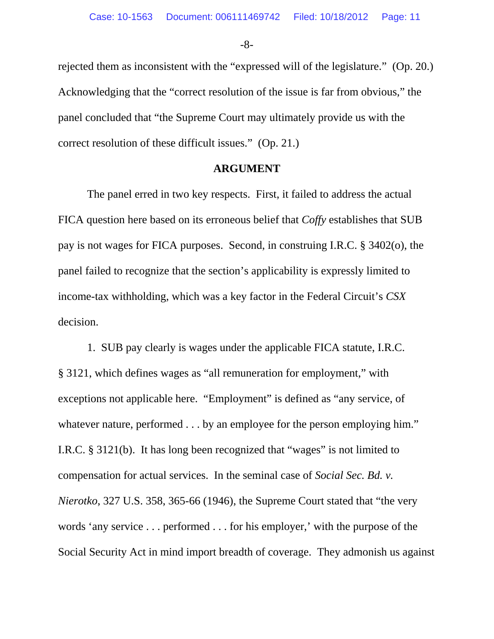-8-

rejected them as inconsistent with the "expressed will of the legislature." (Op. 20.) Acknowledging that the "correct resolution of the issue is far from obvious," the panel concluded that "the Supreme Court may ultimately provide us with the correct resolution of these difficult issues." (Op. 21.)

### **ARGUMENT**

The panel erred in two key respects. First, it failed to address the actual FICA question here based on its erroneous belief that *Coffy* establishes that SUB pay is not wages for FICA purposes. Second, in construing I.R.C. § 3402(o), the panel failed to recognize that the section's applicability is expressly limited to income-tax withholding, which was a key factor in the Federal Circuit's *CSX* decision.

1. SUB pay clearly is wages under the applicable FICA statute, I.R.C. § 3121, which defines wages as "all remuneration for employment," with exceptions not applicable here. "Employment" is defined as "any service, of whatever nature, performed . . . by an employee for the person employing him." I.R.C. § 3121(b). It has long been recognized that "wages" is not limited to compensation for actual services. In the seminal case of *Social Sec. Bd. v. Nierotko*, 327 U.S. 358, 365-66 (1946), the Supreme Court stated that "the very words 'any service . . . performed . . . for his employer,' with the purpose of the Social Security Act in mind import breadth of coverage. They admonish us against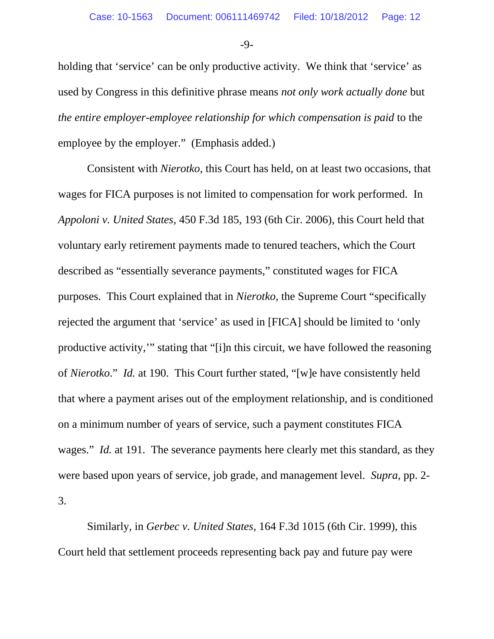-9-

holding that 'service' can be only productive activity. We think that 'service' as used by Congress in this definitive phrase means *not only work actually done* but *the entire employer-employee relationship for which compensation is paid* to the employee by the employer." (Emphasis added.)

Consistent with *Nierotko*, this Court has held, on at least two occasions, that wages for FICA purposes is not limited to compensation for work performed. In *Appoloni v. United States*, 450 F.3d 185, 193 (6th Cir. 2006), this Court held that voluntary early retirement payments made to tenured teachers, which the Court described as "essentially severance payments," constituted wages for FICA purposes. This Court explained that in *Nierotko*, the Supreme Court "specifically rejected the argument that 'service' as used in [FICA] should be limited to 'only productive activity,'" stating that "[i]n this circuit, we have followed the reasoning of *Nierotko*." *Id.* at 190. This Court further stated, "[w]e have consistently held that where a payment arises out of the employment relationship, and is conditioned on a minimum number of years of service, such a payment constitutes FICA wages." *Id.* at 191. The severance payments here clearly met this standard, as they were based upon years of service, job grade, and management level. *Supra*, pp. 2- 3.

Similarly, in *Gerbec v. United States,* 164 F.3d 1015 (6th Cir. 1999), this Court held that settlement proceeds representing back pay and future pay were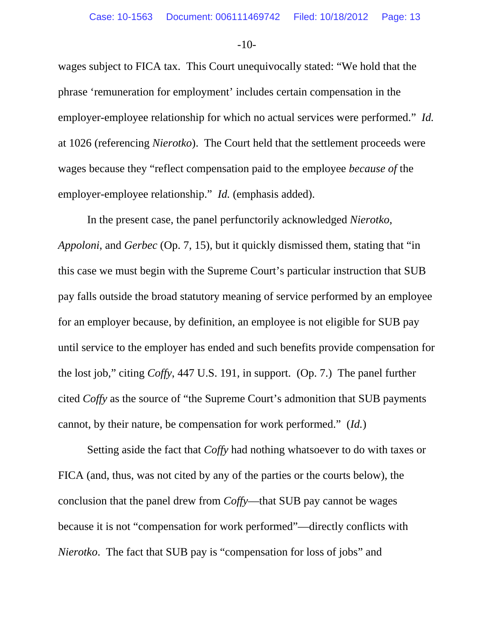$-10-$ 

wages subject to FICA tax. This Court unequivocally stated: "We hold that the phrase 'remuneration for employment' includes certain compensation in the employer-employee relationship for which no actual services were performed." *Id.* at 1026 (referencing *Nierotko*). The Court held that the settlement proceeds were wages because they "reflect compensation paid to the employee *because of* the employer-employee relationship." *Id.* (emphasis added).

In the present case, the panel perfunctorily acknowledged *Nierotko*, *Appoloni*, and *Gerbec* (Op. 7, 15), but it quickly dismissed them, stating that "in this case we must begin with the Supreme Court's particular instruction that SUB pay falls outside the broad statutory meaning of service performed by an employee for an employer because, by definition, an employee is not eligible for SUB pay until service to the employer has ended and such benefits provide compensation for the lost job," citing *Coffy*, 447 U.S. 191, in support. (Op. 7.) The panel further cited *Coffy* as the source of "the Supreme Court's admonition that SUB payments cannot, by their nature, be compensation for work performed." (*Id.*)

Setting aside the fact that *Coffy* had nothing whatsoever to do with taxes or FICA (and, thus, was not cited by any of the parties or the courts below), the conclusion that the panel drew from *Coffy*—that SUB pay cannot be wages because it is not "compensation for work performed"—directly conflicts with *Nierotko*. The fact that SUB pay is "compensation for loss of jobs" and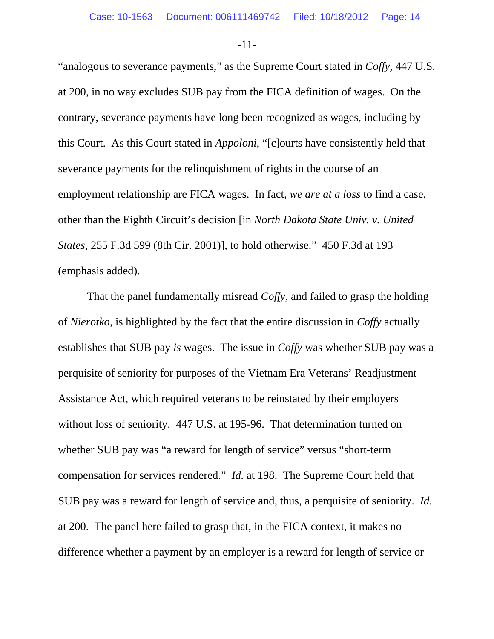-11-

"analogous to severance payments," as the Supreme Court stated in *Coffy*, 447 U.S. at 200, in no way excludes SUB pay from the FICA definition of wages. On the contrary, severance payments have long been recognized as wages, including by this Court. As this Court stated in *Appoloni*, "[c]ourts have consistently held that severance payments for the relinquishment of rights in the course of an employment relationship are FICA wages. In fact, *we are at a loss* to find a case, other than the Eighth Circuit's decision [in *North Dakota State Univ. v. United States*, 255 F.3d 599 (8th Cir. 2001)], to hold otherwise." 450 F.3d at 193 (emphasis added).

That the panel fundamentally misread *Coffy,* and failed to grasp the holding of *Nierotko,* is highlighted by the fact that the entire discussion in *Coffy* actually establishes that SUB pay *is* wages. The issue in *Coffy* was whether SUB pay was a perquisite of seniority for purposes of the Vietnam Era Veterans' Readjustment Assistance Act, which required veterans to be reinstated by their employers without loss of seniority. 447 U.S. at 195-96. That determination turned on whether SUB pay was "a reward for length of service" versus "short-term compensation for services rendered." *Id.* at 198. The Supreme Court held that SUB pay was a reward for length of service and, thus, a perquisite of seniority. *Id.* at 200. The panel here failed to grasp that, in the FICA context, it makes no difference whether a payment by an employer is a reward for length of service or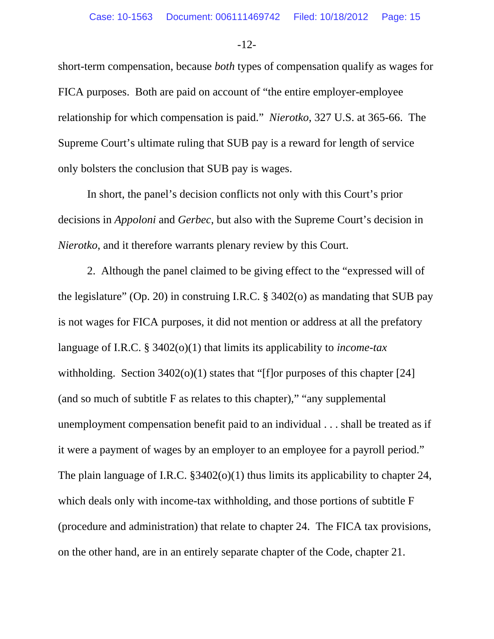-12-

short-term compensation, because *both* types of compensation qualify as wages for FICA purposes. Both are paid on account of "the entire employer-employee relationship for which compensation is paid." *Nierotko*, 327 U.S. at 365-66. The Supreme Court's ultimate ruling that SUB pay is a reward for length of service only bolsters the conclusion that SUB pay is wages.

In short, the panel's decision conflicts not only with this Court's prior decisions in *Appoloni* and *Gerbec*, but also with the Supreme Court's decision in *Nierotko*, and it therefore warrants plenary review by this Court.

2. Although the panel claimed to be giving effect to the "expressed will of the legislature" (Op. 20) in construing I.R.C. § 3402(o) as mandating that SUB pay is not wages for FICA purposes, it did not mention or address at all the prefatory language of I.R.C. § 3402(o)(1) that limits its applicability to *income-tax* withholding. Section  $3402(0)(1)$  states that "[f]or purposes of this chapter [24] (and so much of subtitle F as relates to this chapter)," "any supplemental unemployment compensation benefit paid to an individual . . . shall be treated as if it were a payment of wages by an employer to an employee for a payroll period." The plain language of I.R.C.  $\S 3402(0)(1)$  thus limits its applicability to chapter 24, which deals only with income-tax withholding, and those portions of subtitle F (procedure and administration) that relate to chapter 24. The FICA tax provisions, on the other hand, are in an entirely separate chapter of the Code, chapter 21.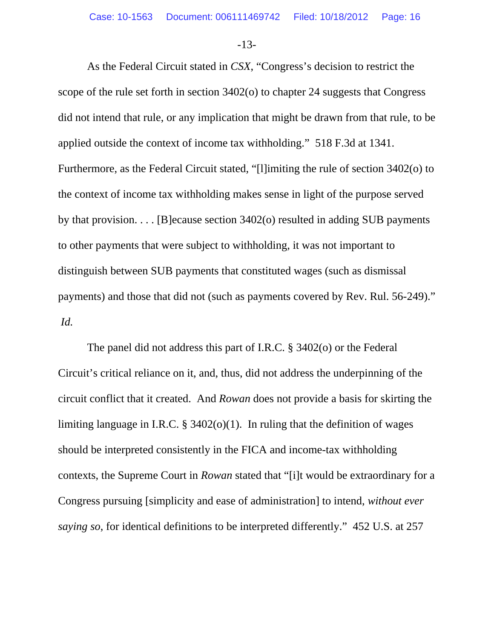-13-

As the Federal Circuit stated in *CSX*, "Congress's decision to restrict the scope of the rule set forth in section 3402(o) to chapter 24 suggests that Congress did not intend that rule, or any implication that might be drawn from that rule, to be applied outside the context of income tax withholding." 518 F.3d at 1341. Furthermore, as the Federal Circuit stated, "[l]imiting the rule of section 3402(o) to the context of income tax withholding makes sense in light of the purpose served by that provision. . . . [B]ecause section 3402(o) resulted in adding SUB payments to other payments that were subject to withholding, it was not important to distinguish between SUB payments that constituted wages (such as dismissal payments) and those that did not (such as payments covered by Rev. Rul. 56-249)." *Id.*

The panel did not address this part of I.R.C. § 3402(o) or the Federal Circuit's critical reliance on it, and, thus, did not address the underpinning of the circuit conflict that it created. And *Rowan* does not provide a basis for skirting the limiting language in I.R.C.  $\S$  3402(o)(1). In ruling that the definition of wages should be interpreted consistently in the FICA and income-tax withholding contexts, the Supreme Court in *Rowan* stated that "[i]t would be extraordinary for a Congress pursuing [simplicity and ease of administration] to intend, *without ever saying so*, for identical definitions to be interpreted differently." 452 U.S. at 257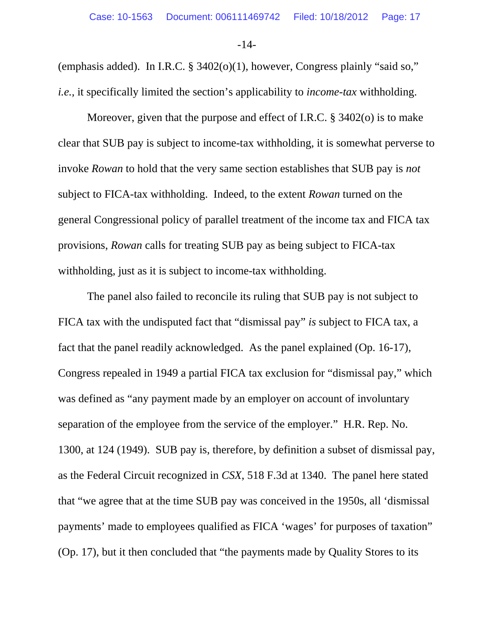-14-

(emphasis added). In I.R.C. § 3402(o)(1), however, Congress plainly "said so," *i.e.,* it specifically limited the section's applicability to *income-tax* withholding.

Moreover, given that the purpose and effect of I.R.C. § 3402(o) is to make clear that SUB pay is subject to income-tax withholding, it is somewhat perverse to invoke *Rowan* to hold that the very same section establishes that SUB pay is *not* subject to FICA-tax withholding. Indeed, to the extent *Rowan* turned on the general Congressional policy of parallel treatment of the income tax and FICA tax provisions, *Rowan* calls for treating SUB pay as being subject to FICA-tax withholding, just as it is subject to income-tax withholding.

The panel also failed to reconcile its ruling that SUB pay is not subject to FICA tax with the undisputed fact that "dismissal pay" *is* subject to FICA tax, a fact that the panel readily acknowledged. As the panel explained (Op. 16-17), Congress repealed in 1949 a partial FICA tax exclusion for "dismissal pay," which was defined as "any payment made by an employer on account of involuntary separation of the employee from the service of the employer." H.R. Rep. No. 1300, at 124 (1949). SUB pay is, therefore, by definition a subset of dismissal pay, as the Federal Circuit recognized in *CSX*, 518 F.3d at 1340. The panel here stated that "we agree that at the time SUB pay was conceived in the 1950s, all 'dismissal payments' made to employees qualified as FICA 'wages' for purposes of taxation" (Op. 17), but it then concluded that "the payments made by Quality Stores to its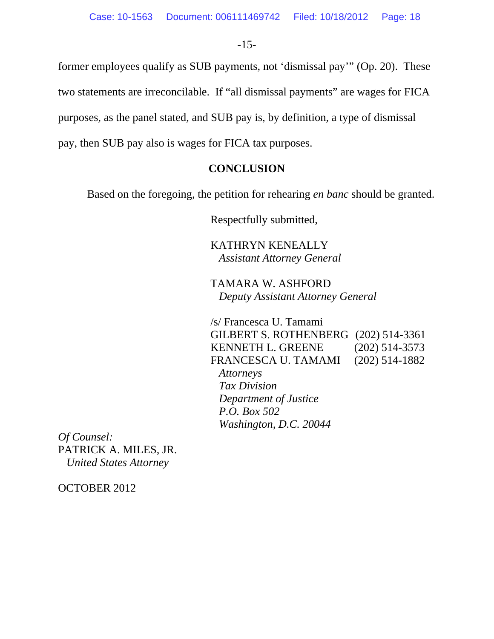-15-

former employees qualify as SUB payments, not 'dismissal pay'" (Op. 20). These two statements are irreconcilable. If "all dismissal payments" are wages for FICA purposes, as the panel stated, and SUB pay is, by definition, a type of dismissal pay, then SUB pay also is wages for FICA tax purposes.

# **CONCLUSION**

Based on the foregoing, the petition for rehearing *en banc* should be granted.

Respectfully submitted,

KATHRYN KENEALLY *Assistant Attorney General*

TAMARA W. ASHFORD *Deputy Assistant Attorney General*

/s/ Francesca U. Tamami GILBERT S. ROTHENBERG (202) 514-3361 KENNETH L. GREENE (202) 514-3573 FRANCESCA U. TAMAMI (202) 514-1882  *Attorneys Tax Division Department of Justice P.O. Box 502 Washington, D.C. 20044*

*Of Counsel:* PATRICK A. MILES, JR. *United States Attorney*

OCTOBER 2012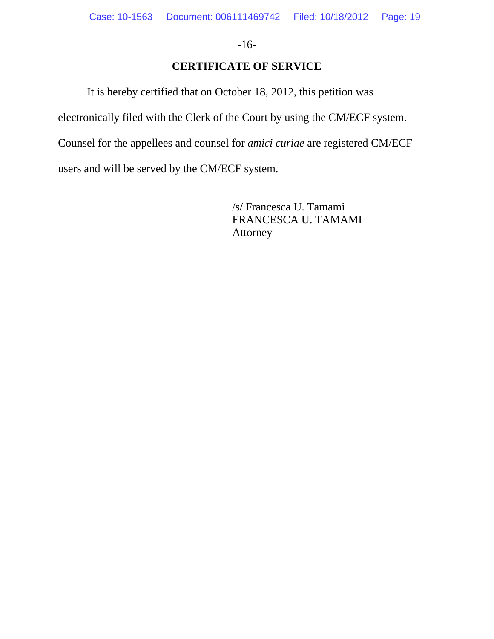-16-

# **CERTIFICATE OF SERVICE**

It is hereby certified that on October 18, 2012, this petition was

electronically filed with the Clerk of the Court by using the CM/ECF system.

Counsel for the appellees and counsel for *amici curiae* are registered CM/ECF

users and will be served by the CM/ECF system.

/s/ Francesca U. Tamami FRANCESCA U. TAMAMI Attorney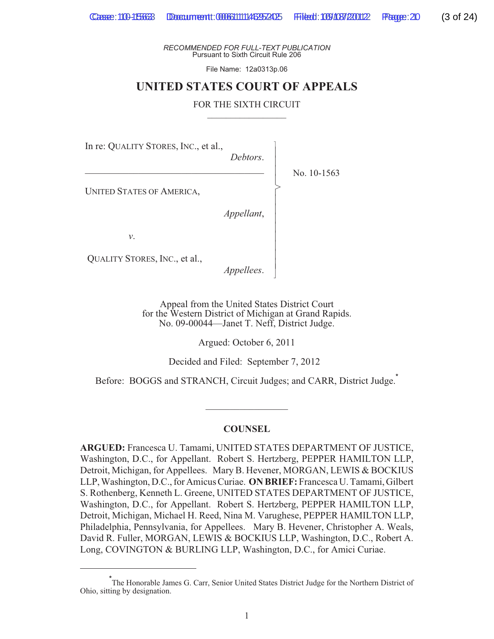*RECOMMENDED FOR FULL-TEXT PUBLICATION* Pursuant to Sixth Circuit Rule 206

File Name: 12a0313p.06

## **UNITED STATES COURT OF APPEALS**

#### FOR THE SIXTH CIRCUIT

In re: QUALITY STORES, INC., et al.,

 $\_$  . The contribution of the contribution of  $\mathcal{L}_\mathcal{A}$ 

*Debtors*.

-|<br>|<br>| |<br>|<br>| |<br>|<br>|

>  $\overline{\phantom{a}}$ |<br>|<br>| |<br>|<br>| |<br>|<br>| |<br>|<br>| |<br>|<br>| |<br>|<br>| |<br>|<br>| |<br>|<br>|  $\overline{\phantom{a}}$ 

No. 10-1563

UNITED STATES OF AMERICA,

 *Appellant*,

*v*.

QUALITY STORES, INC., et al.,

*Appellees*.

Appeal from the United States District Court for the Western District of Michigan at Grand Rapids. No. 09-00044—Janet T. Neff, District Judge.

Argued: October 6, 2011

Decided and Filed: September 7, 2012

Before: BOGGS and STRANCH, Circuit Judges; and CARR, District Judge.**\***

#### **COUNSEL**

 $\overline{\phantom{a}}$  . The set of the set of the set of the set of the set of the set of the set of the set of the set of the set of the set of the set of the set of the set of the set of the set of the set of the set of the set o

**ARGUED:** Francesca U. Tamami, UNITED STATES DEPARTMENT OF JUSTICE, Washington, D.C., for Appellant. Robert S. Hertzberg, PEPPER HAMILTON LLP, Detroit, Michigan, for Appellees. Mary B. Hevener, MORGAN, LEWIS & BOCKIUS LLP, Washington, D.C., for Amicus Curiae. **ON BRIEF:** Francesca U. Tamami, Gilbert S. Rothenberg, Kenneth L. Greene, UNITED STATES DEPARTMENT OF JUSTICE, Washington, D.C., for Appellant. Robert S. Hertzberg, PEPPER HAMILTON LLP, Detroit, Michigan, Michael H. Reed, Nina M. Varughese, PEPPER HAMILTON LLP, Philadelphia, Pennsylvania, for Appellees. Mary B. Hevener, Christopher A. Weals, David R. Fuller, MORGAN, LEWIS & BOCKIUS LLP, Washington, D.C., Robert A. Long, COVINGTON & BURLING LLP, Washington, D.C., for Amici Curiae.

**<sup>\*</sup>** The Honorable James G. Carr, Senior United States District Judge for the Northern District of Ohio, sitting by designation.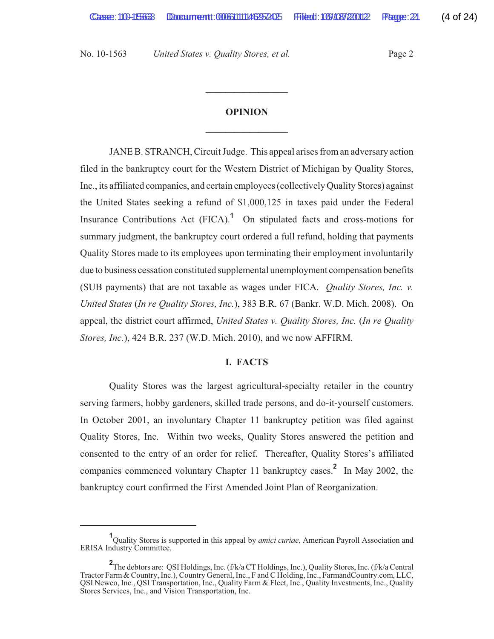# **OPINION \_\_\_\_\_\_\_\_\_\_\_\_\_\_\_\_\_**

**\_\_\_\_\_\_\_\_\_\_\_\_\_\_\_\_\_**

JANE B. STRANCH, Circuit Judge. This appeal arises from an adversary action filed in the bankruptcy court for the Western District of Michigan by Quality Stores, Inc., its affiliated companies, and certain employees (collectively Quality Stores) against the United States seeking a refund of \$1,000,125 in taxes paid under the Federal Insurance Contributions Act (FICA).**<sup>1</sup>** On stipulated facts and cross-motions for summary judgment, the bankruptcy court ordered a full refund, holding that payments Quality Stores made to its employees upon terminating their employment involuntarily due to business cessation constituted supplemental unemployment compensation benefits (SUB payments) that are not taxable as wages under FICA. *Quality Stores, Inc. v. United States* (*In re Quality Stores, Inc.*), 383 B.R. 67 (Bankr. W.D. Mich. 2008). On appeal, the district court affirmed, *United States v. Quality Stores, Inc.* (*In re Quality Stores, Inc.*), 424 B.R. 237 (W.D. Mich. 2010), and we now AFFIRM.

#### **I. FACTS**

Quality Stores was the largest agricultural-specialty retailer in the country serving farmers, hobby gardeners, skilled trade persons, and do-it-yourself customers. In October 2001, an involuntary Chapter 11 bankruptcy petition was filed against Quality Stores, Inc. Within two weeks, Quality Stores answered the petition and consented to the entry of an order for relief. Thereafter, Quality Stores's affiliated companies commenced voluntary Chapter 11 bankruptcy cases.**<sup>2</sup>** In May 2002, the bankruptcy court confirmed the First Amended Joint Plan of Reorganization.

**<sup>1</sup>** Quality Stores is supported in this appeal by *amici curiae*, American Payroll Association and ERISA Industry Committee.

**<sup>2</sup>** The debtors are: QSI Holdings, Inc. (f/k/a CT Holdings, Inc.), Quality Stores, Inc. (f/k/a Central Tractor Farm & Country, Inc.), Country General, Inc., F and C Holding, Inc., FarmandCountry.com, LLC, QSI Newco, Inc., QSI Transportation, Inc., Quality Farm & Fleet, Inc., Quality Investments, Inc., Quality Stores Services, Inc., and Vision Transportation, Inc.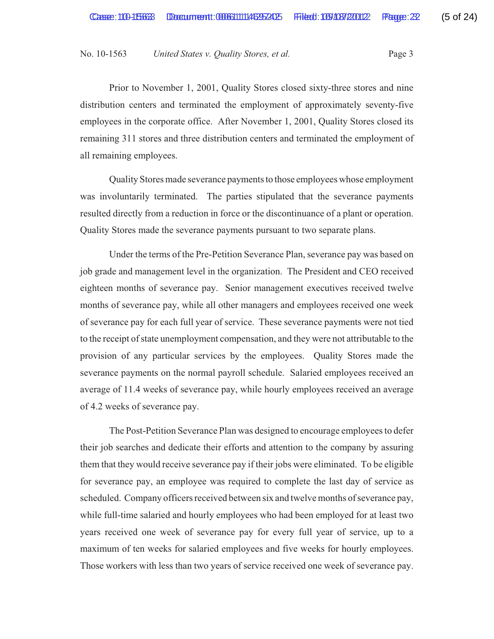Prior to November 1, 2001, Quality Stores closed sixty-three stores and nine distribution centers and terminated the employment of approximately seventy-five employees in the corporate office. After November 1, 2001, Quality Stores closed its remaining 311 stores and three distribution centers and terminated the employment of all remaining employees.

Quality Stores made severance payments to those employees whose employment was involuntarily terminated. The parties stipulated that the severance payments resulted directly from a reduction in force or the discontinuance of a plant or operation. Quality Stores made the severance payments pursuant to two separate plans.

Under the terms of the Pre-Petition Severance Plan, severance pay was based on job grade and management level in the organization. The President and CEO received eighteen months of severance pay. Senior management executives received twelve months of severance pay, while all other managers and employees received one week of severance pay for each full year of service. These severance payments were not tied to the receipt of state unemployment compensation, and they were not attributable to the provision of any particular services by the employees. Quality Stores made the severance payments on the normal payroll schedule. Salaried employees received an average of 11.4 weeks of severance pay, while hourly employees received an average of 4.2 weeks of severance pay.

The Post-Petition Severance Plan was designed to encourage employees to defer their job searches and dedicate their efforts and attention to the company by assuring them that they would receive severance pay if their jobs were eliminated. To be eligible for severance pay, an employee was required to complete the last day of service as scheduled. Company officers received between six and twelve months of severance pay, while full-time salaried and hourly employees who had been employed for at least two years received one week of severance pay for every full year of service, up to a maximum of ten weeks for salaried employees and five weeks for hourly employees. Those workers with less than two years of service received one week of severance pay.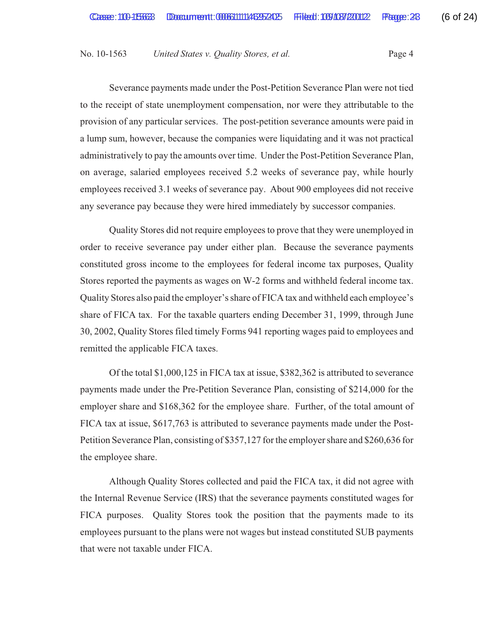Severance payments made under the Post-Petition Severance Plan were not tied to the receipt of state unemployment compensation, nor were they attributable to the provision of any particular services. The post-petition severance amounts were paid in a lump sum, however, because the companies were liquidating and it was not practical administratively to pay the amounts over time. Under the Post-Petition Severance Plan, on average, salaried employees received 5.2 weeks of severance pay, while hourly employees received 3.1 weeks of severance pay. About 900 employees did not receive any severance pay because they were hired immediately by successor companies.

Quality Stores did not require employees to prove that they were unemployed in order to receive severance pay under either plan. Because the severance payments constituted gross income to the employees for federal income tax purposes, Quality Stores reported the payments as wages on W-2 forms and withheld federal income tax. Quality Stores also paid the employer's share of FICA tax and withheld each employee's share of FICA tax. For the taxable quarters ending December 31, 1999, through June 30, 2002, Quality Stores filed timely Forms 941 reporting wages paid to employees and remitted the applicable FICA taxes.

Of the total \$1,000,125 in FICA tax at issue, \$382,362 is attributed to severance payments made under the Pre-Petition Severance Plan, consisting of \$214,000 for the employer share and \$168,362 for the employee share. Further, of the total amount of FICA tax at issue, \$617,763 is attributed to severance payments made under the Post-Petition Severance Plan, consisting of \$357,127 for the employer share and \$260,636 for the employee share.

Although Quality Stores collected and paid the FICA tax, it did not agree with the Internal Revenue Service (IRS) that the severance payments constituted wages for FICA purposes. Quality Stores took the position that the payments made to its employees pursuant to the plans were not wages but instead constituted SUB payments that were not taxable under FICA.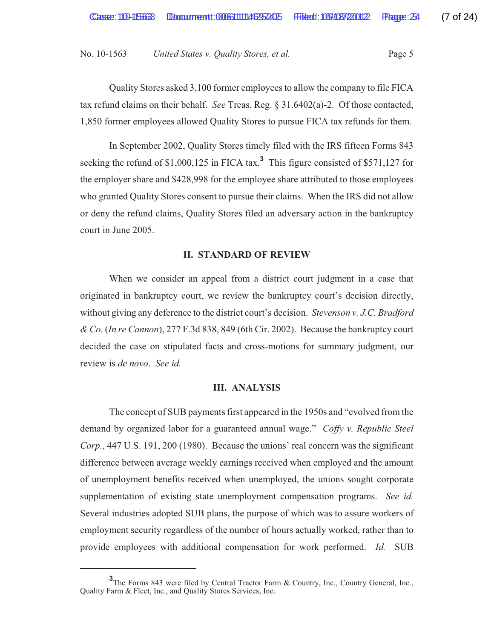Quality Stores asked 3,100 former employees to allow the company to file FICA tax refund claims on their behalf. *See* Treas. Reg. § 31.6402(a)-2. Of those contacted, 1,850 former employees allowed Quality Stores to pursue FICA tax refunds for them.

In September 2002, Quality Stores timely filed with the IRS fifteen Forms 843 seeking the refund of \$1,000,125 in FICA tax.**<sup>3</sup>** This figure consisted of \$571,127 for the employer share and \$428,998 for the employee share attributed to those employees who granted Quality Stores consent to pursue their claims. When the IRS did not allow or deny the refund claims, Quality Stores filed an adversary action in the bankruptcy court in June 2005.

#### **II. STANDARD OF REVIEW**

When we consider an appeal from a district court judgment in a case that originated in bankruptcy court, we review the bankruptcy court's decision directly, without giving any deference to the district court's decision. *Stevenson v. J.C. Bradford & Co.* (*In re Cannon*), 277 F.3d 838, 849 (6th Cir. 2002). Because the bankruptcy court decided the case on stipulated facts and cross-motions for summary judgment, our review is *de novo*. *See id.*

#### **III. ANALYSIS**

The concept of SUB payments first appeared in the 1950s and "evolved from the demand by organized labor for a guaranteed annual wage." *Coffy v. Republic Steel Corp.*, 447 U.S. 191, 200 (1980). Because the unions' real concern was the significant difference between average weekly earnings received when employed and the amount of unemployment benefits received when unemployed, the unions sought corporate supplementation of existing state unemployment compensation programs. *See id.* Several industries adopted SUB plans, the purpose of which was to assure workers of employment security regardless of the number of hours actually worked, rather than to provide employees with additional compensation for work performed. *Id.* SUB

<sup>&</sup>lt;sup>3</sup>The Forms 843 were filed by Central Tractor Farm & Country, Inc., Country General, Inc., Quality Farm & Fleet, Inc., and Quality Stores Services, Inc.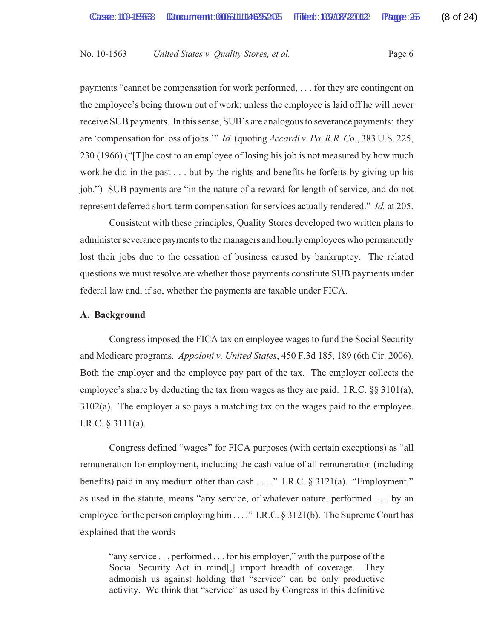payments "cannot be compensation for work performed, . . . for they are contingent on the employee's being thrown out of work; unless the employee is laid off he will never receive SUB payments. In this sense, SUB's are analogous to severance payments: they are 'compensation for loss of jobs.'" *Id.* (quoting *Accardi v. Pa. R.R. Co.*, 383 U.S. 225, 230 (1966) ("[T]he cost to an employee of losing his job is not measured by how much work he did in the past . . . but by the rights and benefits he forfeits by giving up his job.") SUB payments are "in the nature of a reward for length of service, and do not represent deferred short-term compensation for services actually rendered." *Id.* at 205.

Consistent with these principles, Quality Stores developed two written plans to administer severance payments to the managers and hourly employees who permanently lost their jobs due to the cessation of business caused by bankruptcy. The related questions we must resolve are whether those payments constitute SUB payments under federal law and, if so, whether the payments are taxable under FICA.

#### **A. Background**

Congress imposed the FICA tax on employee wages to fund the Social Security and Medicare programs. *Appoloni v. United States*, 450 F.3d 185, 189 (6th Cir. 2006). Both the employer and the employee pay part of the tax. The employer collects the employee's share by deducting the tax from wages as they are paid. I.R.C. §§ 3101(a), 3102(a). The employer also pays a matching tax on the wages paid to the employee. I.R.C. § 3111(a).

Congress defined "wages" for FICA purposes (with certain exceptions) as "all remuneration for employment, including the cash value of all remuneration (including benefits) paid in any medium other than cash . . . ." I.R.C. § 3121(a). "Employment," as used in the statute, means "any service, of whatever nature, performed . . . by an employee for the person employing him . . . ." I.R.C. § 3121(b). The Supreme Court has explained that the words

"any service . . . performed . . . for his employer," with the purpose of the Social Security Act in mind[,] import breadth of coverage. They admonish us against holding that "service" can be only productive activity. We think that "service" as used by Congress in this definitive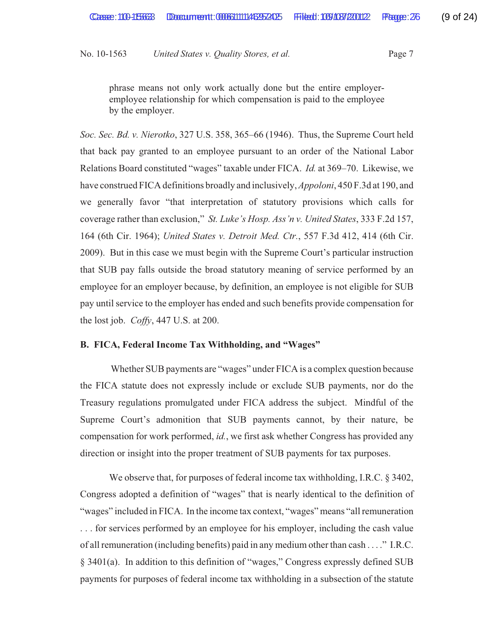phrase means not only work actually done but the entire employeremployee relationship for which compensation is paid to the employee by the employer.

*Soc. Sec. Bd. v. Nierotko*, 327 U.S. 358, 365–66 (1946). Thus, the Supreme Court held that back pay granted to an employee pursuant to an order of the National Labor Relations Board constituted "wages" taxable under FICA. *Id.* at 369–70. Likewise, we have construed FICA definitions broadly and inclusively, *Appoloni*, 450 F.3d at 190, and we generally favor "that interpretation of statutory provisions which calls for coverage rather than exclusion," *St. Luke's Hosp. Ass'n v. United States*, 333 F.2d 157, 164 (6th Cir. 1964); *United States v. Detroit Med. Ctr.*, 557 F.3d 412, 414 (6th Cir. 2009). But in this case we must begin with the Supreme Court's particular instruction that SUB pay falls outside the broad statutory meaning of service performed by an employee for an employer because, by definition, an employee is not eligible for SUB pay until service to the employer has ended and such benefits provide compensation for the lost job. *Coffy*, 447 U.S. at 200.

#### **B. FICA, Federal Income Tax Withholding, and "Wages"**

 Whether SUB payments are "wages" under FICA is a complex question because the FICA statute does not expressly include or exclude SUB payments, nor do the Treasury regulations promulgated under FICA address the subject. Mindful of the Supreme Court's admonition that SUB payments cannot, by their nature, be compensation for work performed, *id.*, we first ask whether Congress has provided any direction or insight into the proper treatment of SUB payments for tax purposes.

We observe that, for purposes of federal income tax withholding, I.R.C. § 3402, Congress adopted a definition of "wages" that is nearly identical to the definition of "wages" included in FICA. In the income tax context, "wages" means "all remuneration . . . for services performed by an employee for his employer, including the cash value of all remuneration (including benefits) paid in any medium other than cash . . . ." I.R.C. § 3401(a). In addition to this definition of "wages," Congress expressly defined SUB payments for purposes of federal income tax withholding in a subsection of the statute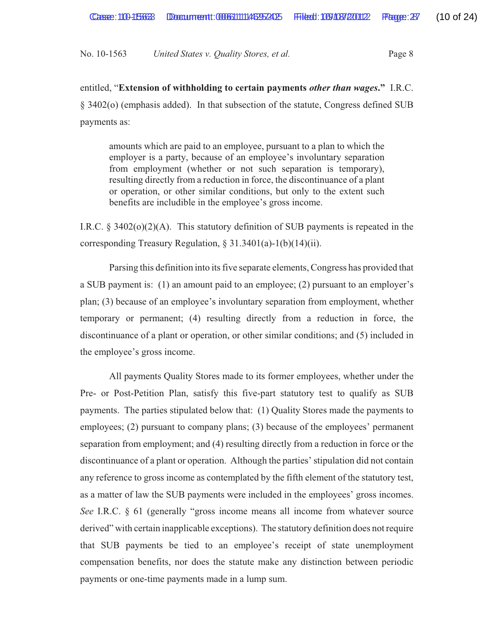entitled, "**Extension of withholding to certain payments** *other than wages***."** I.R.C. § 3402(o) (emphasis added). In that subsection of the statute, Congress defined SUB payments as:

amounts which are paid to an employee, pursuant to a plan to which the employer is a party, because of an employee's involuntary separation from employment (whether or not such separation is temporary), resulting directly from a reduction in force, the discontinuance of a plant or operation, or other similar conditions, but only to the extent such benefits are includible in the employee's gross income.

I.R.C.  $\S 3402(0)(2)(A)$ . This statutory definition of SUB payments is repeated in the corresponding Treasury Regulation,  $\S 31.3401(a) - 1(b)(14)(ii)$ .

Parsing this definition into its five separate elements, Congress has provided that a SUB payment is: (1) an amount paid to an employee; (2) pursuant to an employer's plan; (3) because of an employee's involuntary separation from employment, whether temporary or permanent; (4) resulting directly from a reduction in force, the discontinuance of a plant or operation, or other similar conditions; and (5) included in the employee's gross income.

All payments Quality Stores made to its former employees, whether under the Pre- or Post-Petition Plan, satisfy this five-part statutory test to qualify as SUB payments. The parties stipulated below that: (1) Quality Stores made the payments to employees; (2) pursuant to company plans; (3) because of the employees' permanent separation from employment; and (4) resulting directly from a reduction in force or the discontinuance of a plant or operation. Although the parties' stipulation did not contain any reference to gross income as contemplated by the fifth element of the statutory test, as a matter of law the SUB payments were included in the employees' gross incomes. *See* I.R.C. § 61 (generally "gross income means all income from whatever source derived" with certain inapplicable exceptions). The statutory definition does not require that SUB payments be tied to an employee's receipt of state unemployment compensation benefits, nor does the statute make any distinction between periodic payments or one-time payments made in a lump sum.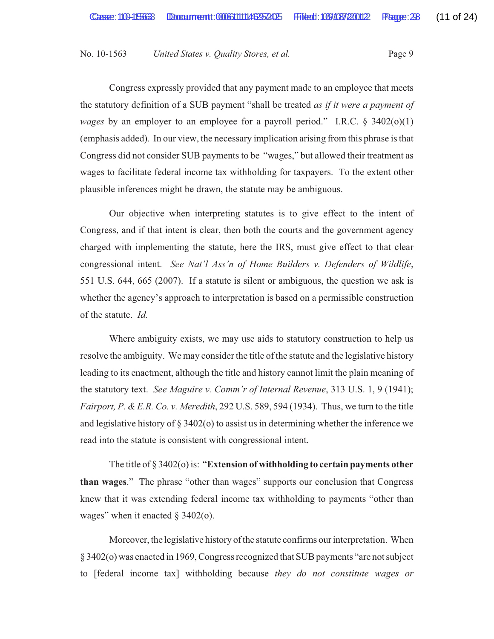Congress expressly provided that any payment made to an employee that meets the statutory definition of a SUB payment "shall be treated *as if it were a payment of wages* by an employer to an employee for a payroll period." I.R.C. § 3402(o)(1) (emphasis added). In our view, the necessary implication arising from this phrase is that Congress did not consider SUB payments to be "wages," but allowed their treatment as wages to facilitate federal income tax withholding for taxpayers. To the extent other plausible inferences might be drawn, the statute may be ambiguous.

Our objective when interpreting statutes is to give effect to the intent of Congress, and if that intent is clear, then both the courts and the government agency charged with implementing the statute, here the IRS, must give effect to that clear congressional intent. *See Nat'l Ass'n of Home Builders v. Defenders of Wildlife*, 551 U.S. 644, 665 (2007). If a statute is silent or ambiguous, the question we ask is whether the agency's approach to interpretation is based on a permissible construction of the statute. *Id.*

Where ambiguity exists, we may use aids to statutory construction to help us resolve the ambiguity. We may consider the title of the statute and the legislative history leading to its enactment, although the title and history cannot limit the plain meaning of the statutory text. *See Maguire v. Comm'r of Internal Revenue*, 313 U.S. 1, 9 (1941); *Fairport, P. & E.R. Co. v. Meredith*, 292 U.S. 589, 594 (1934). Thus, we turn to the title and legislative history of  $\S 3402$ (o) to assist us in determining whether the inference we read into the statute is consistent with congressional intent.

The title of § 3402(o) is: "**Extension of withholding to certain payments other than wages**." The phrase "other than wages" supports our conclusion that Congress knew that it was extending federal income tax withholding to payments "other than wages" when it enacted  $\S$  3402(o).

Moreover, the legislative history of the statute confirms our interpretation. When § 3402(o) was enacted in 1969, Congress recognized that SUB payments "are not subject to [federal income tax] withholding because *they do not constitute wages or*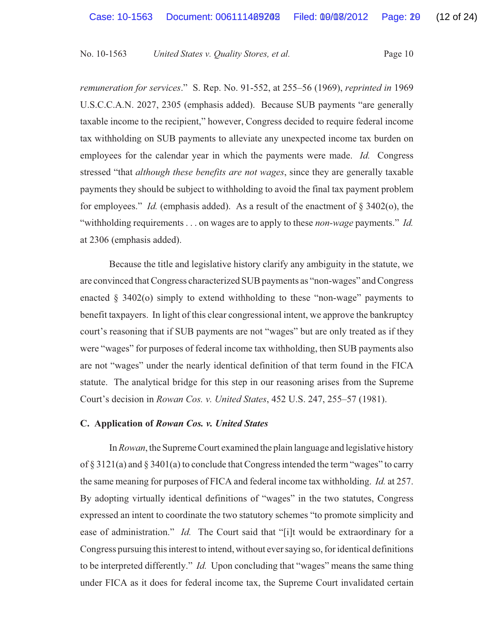*remuneration for services*." S. Rep. No. 91-552, at 255–56 (1969), *reprinted in* 1969 U.S.C.C.A.N. 2027, 2305 (emphasis added). Because SUB payments "are generally taxable income to the recipient," however, Congress decided to require federal income tax withholding on SUB payments to alleviate any unexpected income tax burden on employees for the calendar year in which the payments were made. *Id.* Congress stressed "that *although these benefits are not wages*, since they are generally taxable payments they should be subject to withholding to avoid the final tax payment problem for employees." *Id.* (emphasis added). As a result of the enactment of § 3402(o), the "withholding requirements . . . on wages are to apply to these *non-wage* payments." *Id.* at 2306 (emphasis added).

Because the title and legislative history clarify any ambiguity in the statute, we are convinced that Congress characterized SUB payments as "non-wages" and Congress enacted  $\S$  3402(o) simply to extend withholding to these "non-wage" payments to benefit taxpayers. In light of this clear congressional intent, we approve the bankruptcy court's reasoning that if SUB payments are not "wages" but are only treated as if they were "wages" for purposes of federal income tax withholding, then SUB payments also are not "wages" under the nearly identical definition of that term found in the FICA statute. The analytical bridge for this step in our reasoning arises from the Supreme Court's decision in *Rowan Cos. v. United States*, 452 U.S. 247, 255–57 (1981).

#### **C. Application of** *Rowan Cos. v. United States*

In*Rowan*, the Supreme Court examined the plain language and legislative history of § 3121(a) and § 3401(a) to conclude that Congress intended the term "wages" to carry the same meaning for purposes of FICA and federal income tax withholding. *Id.* at 257. By adopting virtually identical definitions of "wages" in the two statutes, Congress expressed an intent to coordinate the two statutory schemes "to promote simplicity and ease of administration." *Id.* The Court said that "[i]t would be extraordinary for a Congress pursuing this interest to intend, without ever saying so, for identical definitions to be interpreted differently." *Id.* Upon concluding that "wages" means the same thing under FICA as it does for federal income tax, the Supreme Court invalidated certain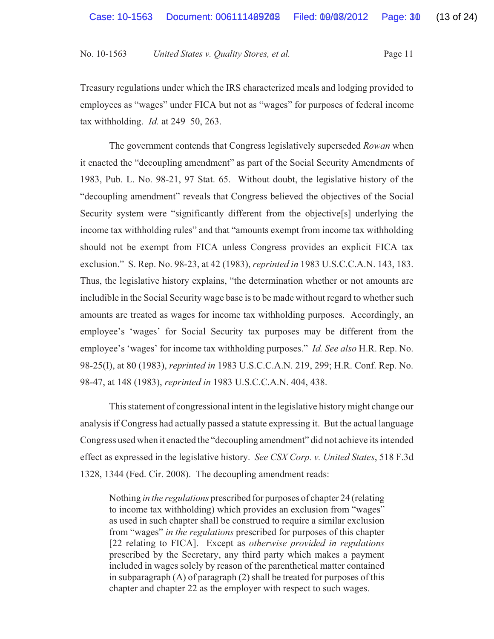Treasury regulations under which the IRS characterized meals and lodging provided to employees as "wages" under FICA but not as "wages" for purposes of federal income tax withholding. *Id.* at 249–50, 263.

The government contends that Congress legislatively superseded *Rowan* when it enacted the "decoupling amendment" as part of the Social Security Amendments of 1983, Pub. L. No. 98-21, 97 Stat. 65. Without doubt, the legislative history of the "decoupling amendment" reveals that Congress believed the objectives of the Social Security system were "significantly different from the objective[s] underlying the income tax withholding rules" and that "amounts exempt from income tax withholding should not be exempt from FICA unless Congress provides an explicit FICA tax exclusion." S. Rep. No. 98-23, at 42 (1983), *reprinted in* 1983 U.S.C.C.A.N. 143, 183. Thus, the legislative history explains, "the determination whether or not amounts are includible in the Social Security wage base is to be made without regard to whether such amounts are treated as wages for income tax withholding purposes. Accordingly, an employee's 'wages' for Social Security tax purposes may be different from the employee's 'wages' for income tax withholding purposes." *Id. See also* H.R. Rep. No. 98-25(I), at 80 (1983), *reprinted in* 1983 U.S.C.C.A.N. 219, 299; H.R. Conf. Rep. No. 98-47, at 148 (1983), *reprinted in* 1983 U.S.C.C.A.N. 404, 438.

This statement of congressional intent in the legislative history might change our analysis if Congress had actually passed a statute expressing it. But the actual language Congress used when it enacted the "decoupling amendment" did not achieve its intended effect as expressed in the legislative history. *See CSX Corp. v. United States*, 518 F.3d 1328, 1344 (Fed. Cir. 2008). The decoupling amendment reads:

Nothing *in the regulations* prescribed for purposes of chapter 24 (relating to income tax withholding) which provides an exclusion from "wages" as used in such chapter shall be construed to require a similar exclusion from "wages" *in the regulations* prescribed for purposes of this chapter [22 relating to FICA]. Except as *otherwise provided in regulations* prescribed by the Secretary, any third party which makes a payment included in wages solely by reason of the parenthetical matter contained in subparagraph (A) of paragraph (2) shall be treated for purposes of this chapter and chapter 22 as the employer with respect to such wages.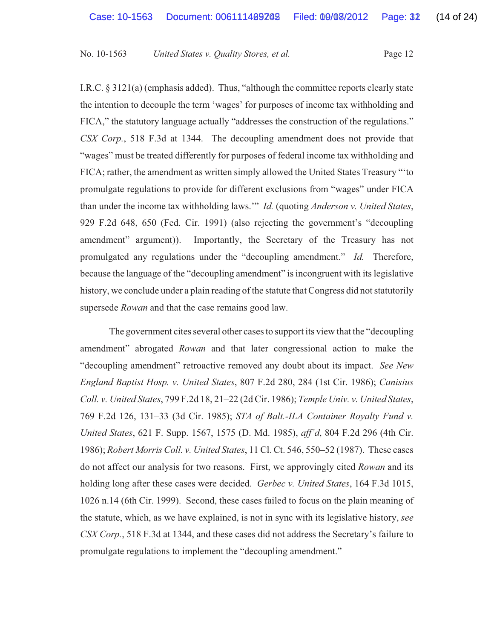I.R.C. § 3121(a) (emphasis added). Thus, "although the committee reports clearly state the intention to decouple the term 'wages' for purposes of income tax withholding and FICA," the statutory language actually "addresses the construction of the regulations." *CSX Corp.*, 518 F.3d at 1344. The decoupling amendment does not provide that "wages" must be treated differently for purposes of federal income tax withholding and FICA; rather, the amendment as written simply allowed the United States Treasury "'to promulgate regulations to provide for different exclusions from "wages" under FICA than under the income tax withholding laws.'" *Id.* (quoting *Anderson v. United States*, 929 F.2d 648, 650 (Fed. Cir. 1991) (also rejecting the government's "decoupling amendment" argument)). Importantly, the Secretary of the Treasury has not promulgated any regulations under the "decoupling amendment." *Id.* Therefore, because the language of the "decoupling amendment" is incongruent with its legislative history, we conclude under a plain reading of the statute that Congress did not statutorily supersede *Rowan* and that the case remains good law.

The government cites several other cases to support its view that the "decoupling amendment" abrogated *Rowan* and that later congressional action to make the "decoupling amendment" retroactive removed any doubt about its impact. *See New England Baptist Hosp. v. United States*, 807 F.2d 280, 284 (1st Cir. 1986); *Canisius Coll. v. United States*, 799 F.2d 18, 21–22 (2d Cir. 1986); *Temple Univ. v. United States*, 769 F.2d 126, 131–33 (3d Cir. 1985); *STA of Balt.-ILA Container Royalty Fund v. United States*, 621 F. Supp. 1567, 1575 (D. Md. 1985), *aff'd*, 804 F.2d 296 (4th Cir. 1986); *Robert Morris Coll. v. United States*, 11 Cl. Ct. 546, 550–52 (1987). These cases do not affect our analysis for two reasons. First, we approvingly cited *Rowan* and its holding long after these cases were decided. *Gerbec v. United States*, 164 F.3d 1015, 1026 n.14 (6th Cir. 1999). Second, these cases failed to focus on the plain meaning of the statute, which, as we have explained, is not in sync with its legislative history, *see CSX Corp.*, 518 F.3d at 1344, and these cases did not address the Secretary's failure to promulgate regulations to implement the "decoupling amendment."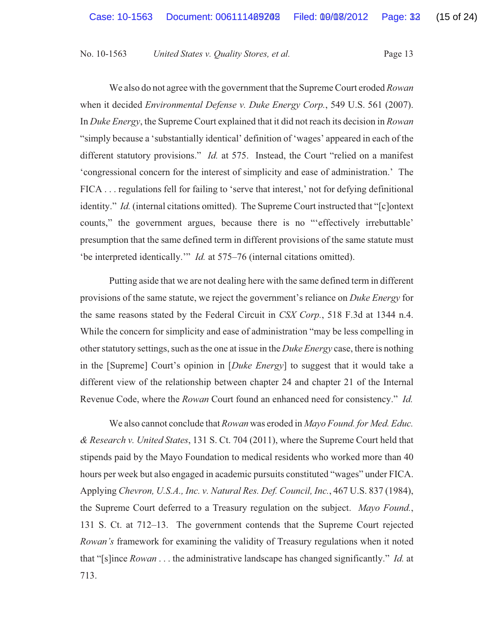We also do not agree with the government that the Supreme Court eroded *Rowan* when it decided *Environmental Defense v. Duke Energy Corp.*, 549 U.S. 561 (2007). In *Duke Energy*, the Supreme Court explained that it did not reach its decision in *Rowan* "simply because a 'substantially identical' definition of 'wages' appeared in each of the different statutory provisions." *Id.* at 575. Instead, the Court "relied on a manifest 'congressional concern for the interest of simplicity and ease of administration.' The FICA . . . regulations fell for failing to 'serve that interest,' not for defying definitional identity." *Id.* (internal citations omitted). The Supreme Court instructed that "[c]ontext counts," the government argues, because there is no "'effectively irrebuttable' presumption that the same defined term in different provisions of the same statute must 'be interpreted identically.'" *Id.* at 575–76 (internal citations omitted).

Putting aside that we are not dealing here with the same defined term in different provisions of the same statute, we reject the government's reliance on *Duke Energy* for the same reasons stated by the Federal Circuit in *CSX Corp.*, 518 F.3d at 1344 n.4. While the concern for simplicity and ease of administration "may be less compelling in other statutory settings, such as the one at issue in the *Duke Energy* case, there is nothing in the [Supreme] Court's opinion in [*Duke Energy*] to suggest that it would take a different view of the relationship between chapter 24 and chapter 21 of the Internal Revenue Code, where the *Rowan* Court found an enhanced need for consistency." *Id.*

We also cannot conclude that *Rowan* was eroded in *Mayo Found. for Med. Educ. & Research v. United States*, 131 S. Ct. 704 (2011), where the Supreme Court held that stipends paid by the Mayo Foundation to medical residents who worked more than 40 hours per week but also engaged in academic pursuits constituted "wages" under FICA. Applying *Chevron, U.S.A., Inc. v. Natural Res. Def. Council, Inc.*, 467 U.S. 837 (1984), the Supreme Court deferred to a Treasury regulation on the subject. *Mayo Found.*, 131 S. Ct. at 712–13. The government contends that the Supreme Court rejected *Rowan's* framework for examining the validity of Treasury regulations when it noted that "[s]ince *Rowan* . . . the administrative landscape has changed significantly." *Id.* at 713.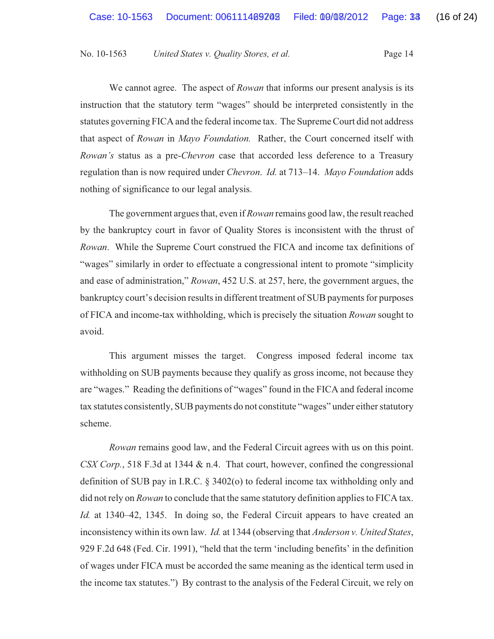We cannot agree. The aspect of *Rowan* that informs our present analysis is its instruction that the statutory term "wages" should be interpreted consistently in the statutes governing FICA and the federal income tax. The Supreme Court did not address that aspect of *Rowan* in *Mayo Foundation.* Rather, the Court concerned itself with *Rowan's* status as a pre-*Chevron* case that accorded less deference to a Treasury regulation than is now required under *Chevron*. *Id.* at 713–14. *Mayo Foundation* adds nothing of significance to our legal analysis.

The government argues that, even if *Rowan* remains good law, the result reached by the bankruptcy court in favor of Quality Stores is inconsistent with the thrust of *Rowan*. While the Supreme Court construed the FICA and income tax definitions of "wages" similarly in order to effectuate a congressional intent to promote "simplicity and ease of administration," *Rowan*, 452 U.S. at 257, here, the government argues, the bankruptcy court's decision results in different treatment of SUB payments for purposes of FICA and income-tax withholding, which is precisely the situation *Rowan* sought to avoid.

This argument misses the target. Congress imposed federal income tax withholding on SUB payments because they qualify as gross income, not because they are "wages." Reading the definitions of "wages" found in the FICA and federal income tax statutes consistently, SUB payments do not constitute "wages" under either statutory scheme.

*Rowan* remains good law, and the Federal Circuit agrees with us on this point. *CSX Corp.*, 518 F.3d at 1344 & n.4. That court, however, confined the congressional definition of SUB pay in I.R.C. § 3402(o) to federal income tax withholding only and did not rely on *Rowan* to conclude that the same statutory definition applies to FICA tax. *Id.* at 1340–42, 1345. In doing so, the Federal Circuit appears to have created an inconsistency within its own law. *Id.* at 1344 (observing that *Anderson v. United States*, 929 F.2d 648 (Fed. Cir. 1991), "held that the term 'including benefits' in the definition of wages under FICA must be accorded the same meaning as the identical term used in the income tax statutes.") By contrast to the analysis of the Federal Circuit, we rely on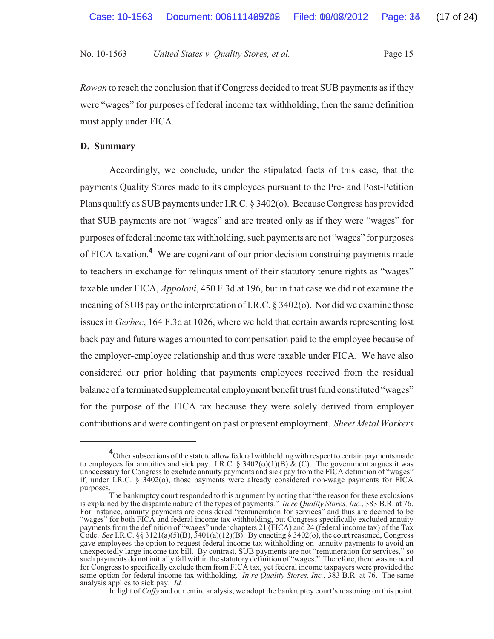*Rowan* to reach the conclusion that if Congress decided to treat SUB payments as if they were "wages" for purposes of federal income tax withholding, then the same definition must apply under FICA.

#### **D. Summary**

Accordingly, we conclude, under the stipulated facts of this case, that the payments Quality Stores made to its employees pursuant to the Pre- and Post-Petition Plans qualify as SUB payments under I.R.C. § 3402(o). Because Congress has provided that SUB payments are not "wages" and are treated only as if they were "wages" for purposes of federal income tax withholding, such payments are not "wages" for purposes of FICA taxation.**<sup>4</sup>** We are cognizant of our prior decision construing payments made to teachers in exchange for relinquishment of their statutory tenure rights as "wages" taxable under FICA, *Appoloni*, 450 F.3d at 196, but in that case we did not examine the meaning of SUB pay or the interpretation of I.R.C. § 3402(o). Nor did we examine those issues in *Gerbec*, 164 F.3d at 1026, where we held that certain awards representing lost back pay and future wages amounted to compensation paid to the employee because of the employer-employee relationship and thus were taxable under FICA. We have also considered our prior holding that payments employees received from the residual balance of a terminated supplemental employment benefit trust fund constituted "wages" for the purpose of the FICA tax because they were solely derived from employer contributions and were contingent on past or present employment. *Sheet Metal Workers*

In light of *Coffy* and our entire analysis, we adopt the bankruptcy court's reasoning on this point.

**<sup>4</sup>** Other subsections of the statute allow federal withholding with respect to certain payments made to employees for annuities and sick pay. I.R.C. § 3402(o)(1)(B)  $\&$  (C). The government argues it was unnecessary for Congress to exclude annuity payments and sick pay from the FICA definition of "wages" if, under I.R.C. § 3402(o), those payments were already considered non-wage payments for FICA purposes.

The bankruptcy court responded to this argument by noting that "the reason for these exclusions is explained by the disparate nature of the types of payments." *In re Quality Stores, Inc.*, 383 B.R. at 76. For instance, annuity payments are considered "remuneration for services" and thus are deemed to be "wages" for both FICA and federal income tax withholding, but Congress specifically excluded annuity payments from the definition of "wages" under chapters 21 (FICA) and 24 (federal income tax) of the Tax Code. *See* I.R.C. §§ 3121(a)(5)(B), 3401(a)(12)(B). By enacting § 3402(o), the court reasoned, Congress gave employees the option to request federal income tax withholding on annuity payments to avoid an unexpectedly large income tax bill. By contrast, SUB payments are not "remuneration for services," so such payments do not initially fall within the statutory definition of "wages." Therefore, there was no need for Congress to specifically exclude them from FICA tax, yet federal income taxpayers were provided the same option for federal income tax withholding. *In re Quality Stores, Inc.*, 383 B.R. at 76. The same analysis applies to sick pay. *Id.*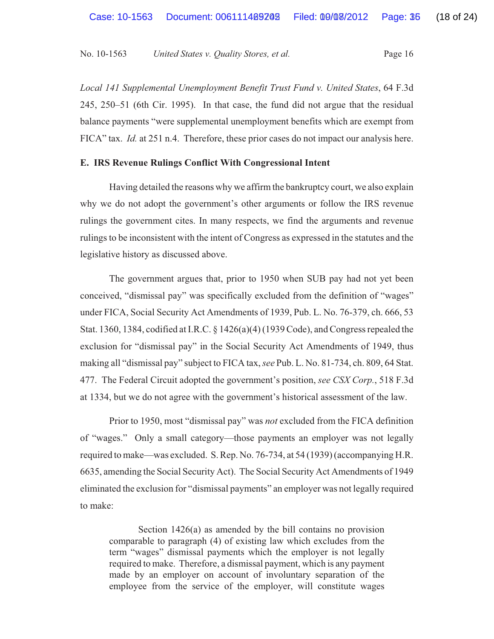*Local 141 Supplemental Unemployment Benefit Trust Fund v. United States*, 64 F.3d 245, 250–51 (6th Cir. 1995). In that case, the fund did not argue that the residual balance payments "were supplemental unemployment benefits which are exempt from FICA" tax. *Id.* at 251 n.4. Therefore, these prior cases do not impact our analysis here.

#### **E. IRS Revenue Rulings Conflict With Congressional Intent**

Having detailed the reasons why we affirm the bankruptcy court, we also explain why we do not adopt the government's other arguments or follow the IRS revenue rulings the government cites. In many respects, we find the arguments and revenue rulings to be inconsistent with the intent of Congress as expressed in the statutes and the legislative history as discussed above.

The government argues that, prior to 1950 when SUB pay had not yet been conceived, "dismissal pay" was specifically excluded from the definition of "wages" under FICA, Social Security Act Amendments of 1939, Pub. L. No. 76-379, ch. 666, 53 Stat. 1360, 1384, codified at I.R.C. § 1426(a)(4) (1939 Code), and Congress repealed the exclusion for "dismissal pay" in the Social Security Act Amendments of 1949, thus making all "dismissal pay" subject to FICA tax, *see* Pub. L. No. 81-734, ch. 809, 64 Stat. 477. The Federal Circuit adopted the government's position, *see CSX Corp.*, 518 F.3d at 1334, but we do not agree with the government's historical assessment of the law.

Prior to 1950, most "dismissal pay" was *not* excluded from the FICA definition of "wages." Only a small category—those payments an employer was not legally required to make—was excluded. S. Rep. No. 76-734, at 54 (1939) (accompanying H.R. 6635, amending the Social Security Act). The Social Security Act Amendments of 1949 eliminated the exclusion for "dismissal payments" an employer was not legally required to make:

Section 1426(a) as amended by the bill contains no provision comparable to paragraph (4) of existing law which excludes from the term "wages" dismissal payments which the employer is not legally required to make. Therefore, a dismissal payment, which is any payment made by an employer on account of involuntary separation of the employee from the service of the employer, will constitute wages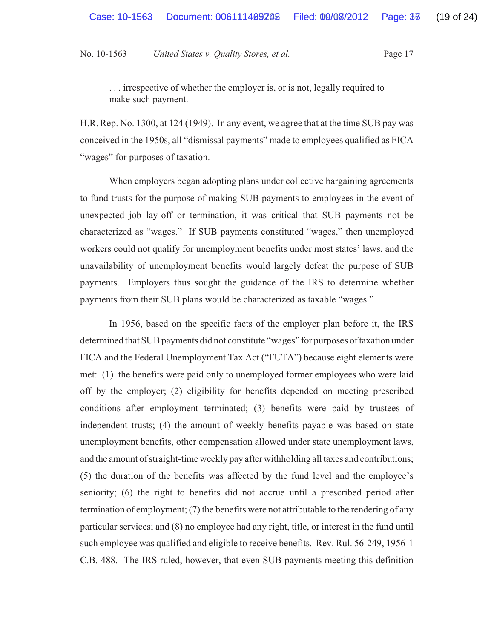. . . irrespective of whether the employer is, or is not, legally required to make such payment.

H.R. Rep. No. 1300, at 124 (1949). In any event, we agree that at the time SUB pay was conceived in the 1950s, all "dismissal payments" made to employees qualified as FICA "wages" for purposes of taxation.

When employers began adopting plans under collective bargaining agreements to fund trusts for the purpose of making SUB payments to employees in the event of unexpected job lay-off or termination, it was critical that SUB payments not be characterized as "wages." If SUB payments constituted "wages," then unemployed workers could not qualify for unemployment benefits under most states' laws, and the unavailability of unemployment benefits would largely defeat the purpose of SUB payments. Employers thus sought the guidance of the IRS to determine whether payments from their SUB plans would be characterized as taxable "wages."

In 1956, based on the specific facts of the employer plan before it, the IRS determined that SUB payments did not constitute "wages" for purposes of taxation under FICA and the Federal Unemployment Tax Act ("FUTA") because eight elements were met: (1) the benefits were paid only to unemployed former employees who were laid off by the employer; (2) eligibility for benefits depended on meeting prescribed conditions after employment terminated; (3) benefits were paid by trustees of independent trusts; (4) the amount of weekly benefits payable was based on state unemployment benefits, other compensation allowed under state unemployment laws, and the amount of straight-time weekly pay after withholding all taxes and contributions; (5) the duration of the benefits was affected by the fund level and the employee's seniority; (6) the right to benefits did not accrue until a prescribed period after termination of employment; (7) the benefits were not attributable to the rendering of any particular services; and (8) no employee had any right, title, or interest in the fund until such employee was qualified and eligible to receive benefits. Rev. Rul. 56-249, 1956-1 C.B. 488. The IRS ruled, however, that even SUB payments meeting this definition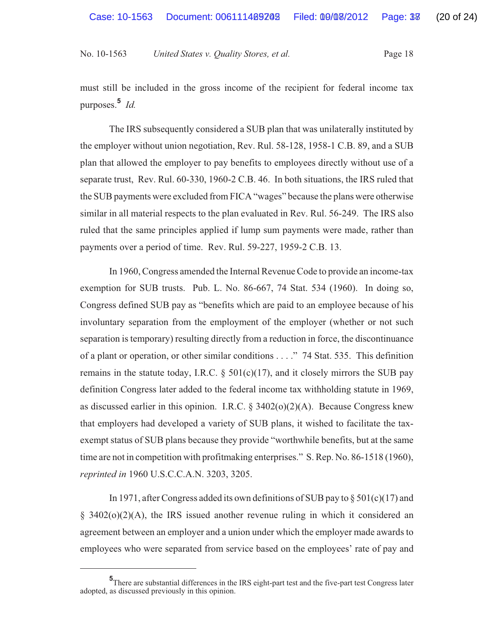must still be included in the gross income of the recipient for federal income tax purposes. **<sup>5</sup>** *Id.*

The IRS subsequently considered a SUB plan that was unilaterally instituted by the employer without union negotiation, Rev. Rul. 58-128, 1958-1 C.B. 89, and a SUB plan that allowed the employer to pay benefits to employees directly without use of a separate trust, Rev. Rul. 60-330, 1960-2 C.B. 46. In both situations, the IRS ruled that the SUB payments were excluded from FICA "wages" because the plans were otherwise similar in all material respects to the plan evaluated in Rev. Rul. 56-249. The IRS also ruled that the same principles applied if lump sum payments were made, rather than payments over a period of time. Rev. Rul. 59-227, 1959-2 C.B. 13.

In 1960, Congress amended the Internal Revenue Code to provide an income-tax exemption for SUB trusts. Pub. L. No. 86-667, 74 Stat. 534 (1960). In doing so, Congress defined SUB pay as "benefits which are paid to an employee because of his involuntary separation from the employment of the employer (whether or not such separation is temporary) resulting directly from a reduction in force, the discontinuance of a plant or operation, or other similar conditions . . . ." 74 Stat. 535. This definition remains in the statute today, I.R.C.  $\S$  501(c)(17), and it closely mirrors the SUB pay definition Congress later added to the federal income tax withholding statute in 1969, as discussed earlier in this opinion. I.R.C.  $\S 3402(o)(2)(A)$ . Because Congress knew that employers had developed a variety of SUB plans, it wished to facilitate the taxexempt status of SUB plans because they provide "worthwhile benefits, but at the same time are not in competition with profitmaking enterprises." S. Rep. No. 86-1518 (1960), *reprinted in* 1960 U.S.C.C.A.N. 3203, 3205.

In 1971, after Congress added its own definitions of SUB pay to  $\S 501(c)(17)$  and § 3402(o)(2)(A), the IRS issued another revenue ruling in which it considered an agreement between an employer and a union under which the employer made awards to employees who were separated from service based on the employees' rate of pay and

**<sup>5</sup>** There are substantial differences in the IRS eight-part test and the five-part test Congress later adopted, as discussed previously in this opinion.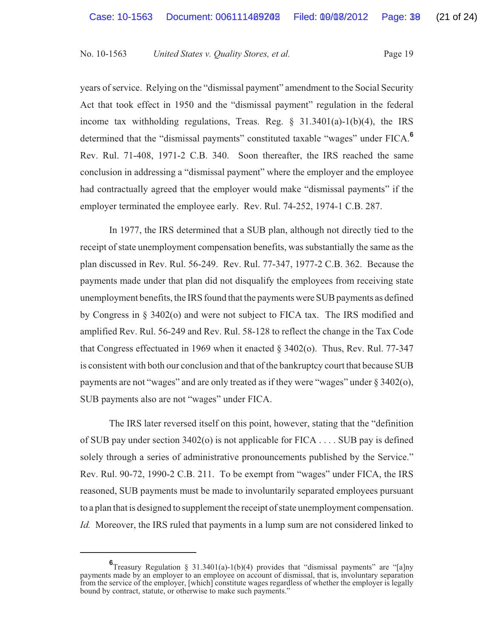years of service. Relying on the "dismissal payment" amendment to the Social Security Act that took effect in 1950 and the "dismissal payment" regulation in the federal income tax withholding regulations, Treas. Reg.  $\S$  31.3401(a)-1(b)(4), the IRS determined that the "dismissal payments" constituted taxable "wages" under FICA.**<sup>6</sup>** Rev. Rul. 71-408, 1971-2 C.B. 340. Soon thereafter, the IRS reached the same conclusion in addressing a "dismissal payment" where the employer and the employee had contractually agreed that the employer would make "dismissal payments" if the employer terminated the employee early. Rev. Rul. 74-252, 1974-1 C.B. 287.

In 1977, the IRS determined that a SUB plan, although not directly tied to the receipt of state unemployment compensation benefits, was substantially the same as the plan discussed in Rev. Rul. 56-249. Rev. Rul. 77-347, 1977-2 C.B. 362. Because the payments made under that plan did not disqualify the employees from receiving state unemployment benefits, the IRS found that the payments were SUB payments as defined by Congress in § 3402(o) and were not subject to FICA tax. The IRS modified and amplified Rev. Rul. 56-249 and Rev. Rul. 58-128 to reflect the change in the Tax Code that Congress effectuated in 1969 when it enacted  $\S$  3402(o). Thus, Rev. Rul. 77-347 is consistent with both our conclusion and that of the bankruptcy court that because SUB payments are not "wages" and are only treated as if they were "wages" under § 3402(o), SUB payments also are not "wages" under FICA.

The IRS later reversed itself on this point, however, stating that the "definition of SUB pay under section 3402(o) is not applicable for  $FICA \ldots$ . SUB pay is defined solely through a series of administrative pronouncements published by the Service." Rev. Rul. 90-72, 1990-2 C.B. 211. To be exempt from "wages" under FICA, the IRS reasoned, SUB payments must be made to involuntarily separated employees pursuant to a plan that is designed to supplement the receipt of state unemployment compensation. *Id.* Moreover, the IRS ruled that payments in a lump sum are not considered linked to

**<sup>6</sup>**<br>Treasury Regulation § 31.3401(a)-1(b)(4) provides that "dismissal payments" are "[a]ny payments made by an employer to an employee on account of dismissal, that is, involuntary separation from the service of the employer, [which] constitute wages regardless of whether the employer is legally bound by contract, statute, or otherwise to make such payments."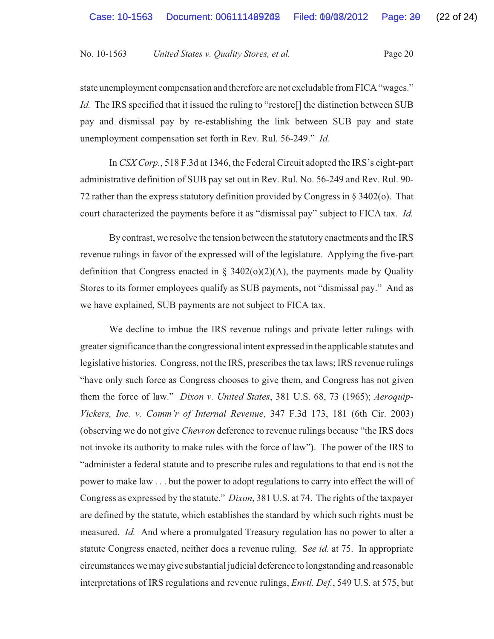state unemployment compensation and therefore are not excludable from FICA "wages." *Id.* The IRS specified that it issued the ruling to "restore[] the distinction between SUB pay and dismissal pay by re-establishing the link between SUB pay and state unemployment compensation set forth in Rev. Rul. 56-249." *Id.*

In *CSX Corp.*, 518 F.3d at 1346, the Federal Circuit adopted the IRS's eight-part administrative definition of SUB pay set out in Rev. Rul. No. 56-249 and Rev. Rul. 90- 72 rather than the express statutory definition provided by Congress in § 3402(o). That court characterized the payments before it as "dismissal pay" subject to FICA tax. *Id.*

By contrast, we resolve the tension between the statutory enactments and the IRS revenue rulings in favor of the expressed will of the legislature. Applying the five-part definition that Congress enacted in  $\S$  3402(o)(2)(A), the payments made by Quality Stores to its former employees qualify as SUB payments, not "dismissal pay." And as we have explained, SUB payments are not subject to FICA tax.

We decline to imbue the IRS revenue rulings and private letter rulings with greater significance than the congressional intent expressed in the applicable statutes and legislative histories. Congress, not the IRS, prescribes the tax laws; IRS revenue rulings "have only such force as Congress chooses to give them, and Congress has not given them the force of law." *Dixon v. United States*, 381 U.S. 68, 73 (1965); *Aeroquip-Vickers, Inc. v. Comm'r of Internal Revenue*, 347 F.3d 173, 181 (6th Cir. 2003) (observing we do not give *Chevron* deference to revenue rulings because "the IRS does not invoke its authority to make rules with the force of law"). The power of the IRS to "administer a federal statute and to prescribe rules and regulations to that end is not the power to make law . . . but the power to adopt regulations to carry into effect the will of Congress as expressed by the statute." *Dixon*, 381 U.S. at 74. The rights of the taxpayer are defined by the statute, which establishes the standard by which such rights must be measured. *Id.* And where a promulgated Treasury regulation has no power to alter a statute Congress enacted, neither does a revenue ruling. S*ee id.* at 75. In appropriate circumstances we may give substantial judicial deference to longstanding and reasonable interpretations of IRS regulations and revenue rulings, *Envtl. Def.*, 549 U.S. at 575, but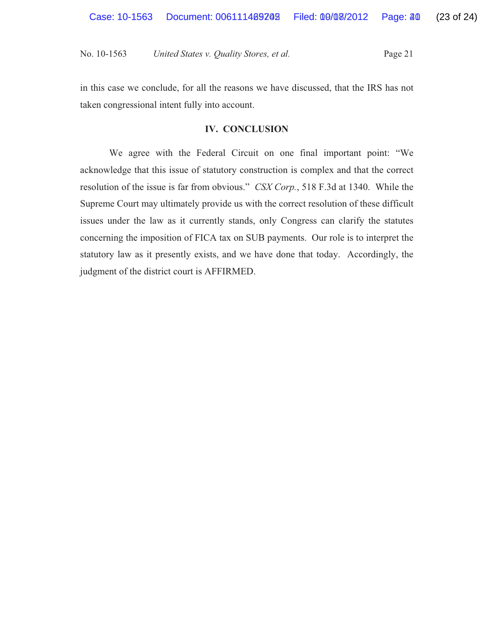in this case we conclude, for all the reasons we have discussed, that the IRS has not taken congressional intent fully into account.

### **IV. CONCLUSION**

We agree with the Federal Circuit on one final important point: "We acknowledge that this issue of statutory construction is complex and that the correct resolution of the issue is far from obvious." *CSX Corp.*, 518 F.3d at 1340. While the Supreme Court may ultimately provide us with the correct resolution of these difficult issues under the law as it currently stands, only Congress can clarify the statutes concerning the imposition of FICA tax on SUB payments. Our role is to interpret the statutory law as it presently exists, and we have done that today. Accordingly, the judgment of the district court is AFFIRMED.